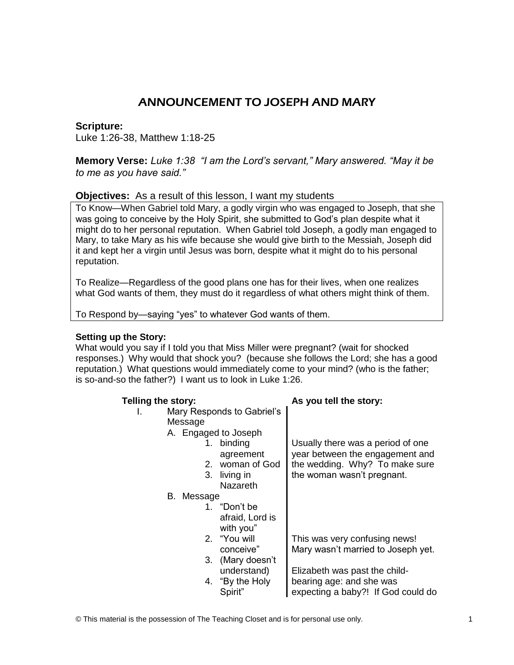# ANNOUNCEMENT TO JOSEPH AND MARY

## **Scripture:**

Luke 1:26-38, Matthew 1:18-25

**Memory Verse:** *Luke 1:38 "I am the Lord's servant," Mary answered. "May it be to me as you have said."*

## **Objectives:** As a result of this lesson, I want my students

To Know—When Gabriel told Mary, a godly virgin who was engaged to Joseph, that she was going to conceive by the Holy Spirit, she submitted to God's plan despite what it might do to her personal reputation. When Gabriel told Joseph, a godly man engaged to Mary, to take Mary as his wife because she would give birth to the Messiah, Joseph did it and kept her a virgin until Jesus was born, despite what it might do to his personal reputation.

To Realize—Regardless of the good plans one has for their lives, when one realizes what God wants of them, they must do it regardless of what others might think of them.

To Respond by—saying "yes" to whatever God wants of them.

## **Setting up the Story:**

What would you say if I told you that Miss Miller were pregnant? (wait for shocked responses.) Why would that shock you? (because she follows the Lord; she has a good reputation.) What questions would immediately come to your mind? (who is the father; is so-and-so the father?) I want us to look in Luke 1:26.

© This material is the possession of The Teaching Closet and is for personal use only. 1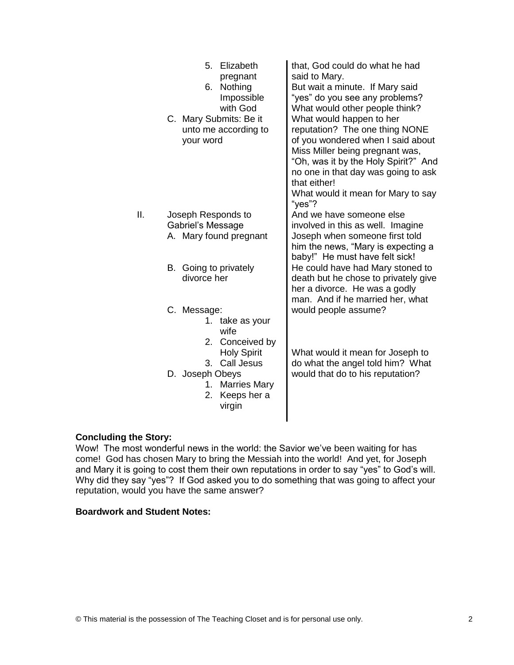|                 | 5.<br>Elizabeth<br>pregnant<br>6. Nothing<br>Impossible<br>with God<br>C. Mary Submits: Be it<br>unto me according to<br>your word | that, God could do what he had<br>said to Mary.<br>But wait a minute. If Mary said<br>"yes" do you see any problems?<br>What would other people think?<br>What would happen to her<br>reputation? The one thing NONE<br>of you wondered when I said about<br>Miss Miller being pregnant was,<br>"Oh, was it by the Holy Spirit?" And<br>no one in that day was going to ask<br>that either!<br>What would it mean for Mary to say<br>"yes"? |
|-----------------|------------------------------------------------------------------------------------------------------------------------------------|---------------------------------------------------------------------------------------------------------------------------------------------------------------------------------------------------------------------------------------------------------------------------------------------------------------------------------------------------------------------------------------------------------------------------------------------|
| $\mathbf{II}$ . | Joseph Responds to<br>Gabriel's Message<br>A. Mary found pregnant                                                                  | And we have someone else<br>involved in this as well. Imagine<br>Joseph when someone first told<br>him the news, "Mary is expecting a<br>baby!" He must have felt sick!                                                                                                                                                                                                                                                                     |
|                 | B. Going to privately<br>divorce her                                                                                               | He could have had Mary stoned to<br>death but he chose to privately give<br>her a divorce. He was a godly                                                                                                                                                                                                                                                                                                                                   |
|                 | C. Message:<br>1. take as your<br>wife<br>2. Conceived by                                                                          | man. And if he married her, what<br>would people assume?                                                                                                                                                                                                                                                                                                                                                                                    |
|                 | <b>Holy Spirit</b><br>3. Call Jesus<br>D. Joseph Obeys<br>1. Marries Mary<br>2. Keeps her a<br>virgin                              | What would it mean for Joseph to<br>do what the angel told him? What<br>would that do to his reputation?                                                                                                                                                                                                                                                                                                                                    |

#### **Concluding the Story:**

Wow! The most wonderful news in the world: the Savior we've been waiting for has come! God has chosen Mary to bring the Messiah into the world! And yet, for Joseph and Mary it is going to cost them their own reputations in order to say "yes" to God's will. Why did they say "yes"? If God asked you to do something that was going to affect your reputation, would you have the same answer?

## **Boardwork and Student Notes:**